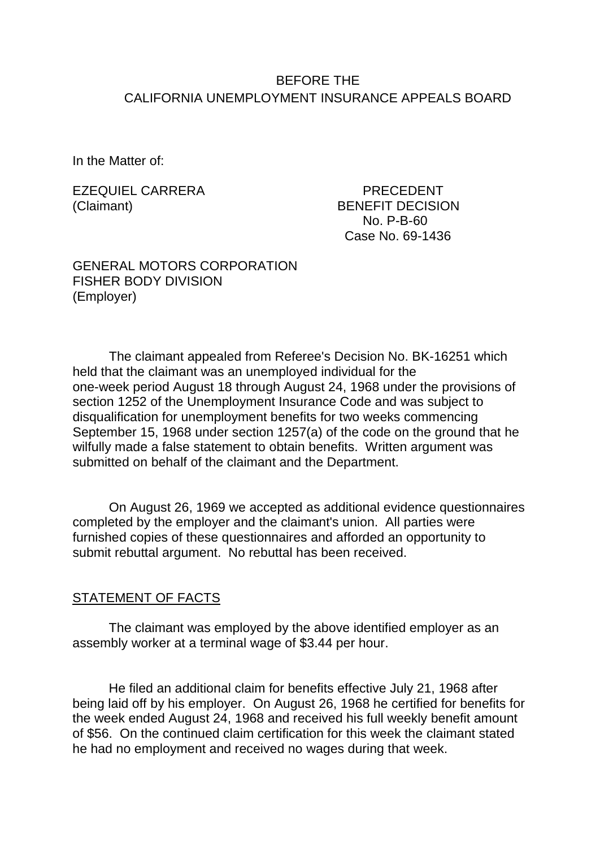# BEFORE THE CALIFORNIA UNEMPLOYMENT INSURANCE APPEALS BOARD

In the Matter of:

EZEQUIEL CARRERA PRECEDENT (Claimant) BENEFIT DECISION

No. P-B-60 Case No. 69-1436

#### GENERAL MOTORS CORPORATION FISHER BODY DIVISION (Employer)

The claimant appealed from Referee's Decision No. BK-16251 which held that the claimant was an unemployed individual for the one-week period August 18 through August 24, 1968 under the provisions of section 1252 of the Unemployment Insurance Code and was subject to disqualification for unemployment benefits for two weeks commencing September 15, 1968 under section 1257(a) of the code on the ground that he wilfully made a false statement to obtain benefits. Written argument was submitted on behalf of the claimant and the Department.

On August 26, 1969 we accepted as additional evidence questionnaires completed by the employer and the claimant's union. All parties were furnished copies of these questionnaires and afforded an opportunity to submit rebuttal argument. No rebuttal has been received.

#### STATEMENT OF FACTS

The claimant was employed by the above identified employer as an assembly worker at a terminal wage of \$3.44 per hour.

He filed an additional claim for benefits effective July 21, 1968 after being laid off by his employer. On August 26, 1968 he certified for benefits for the week ended August 24, 1968 and received his full weekly benefit amount of \$56. On the continued claim certification for this week the claimant stated he had no employment and received no wages during that week.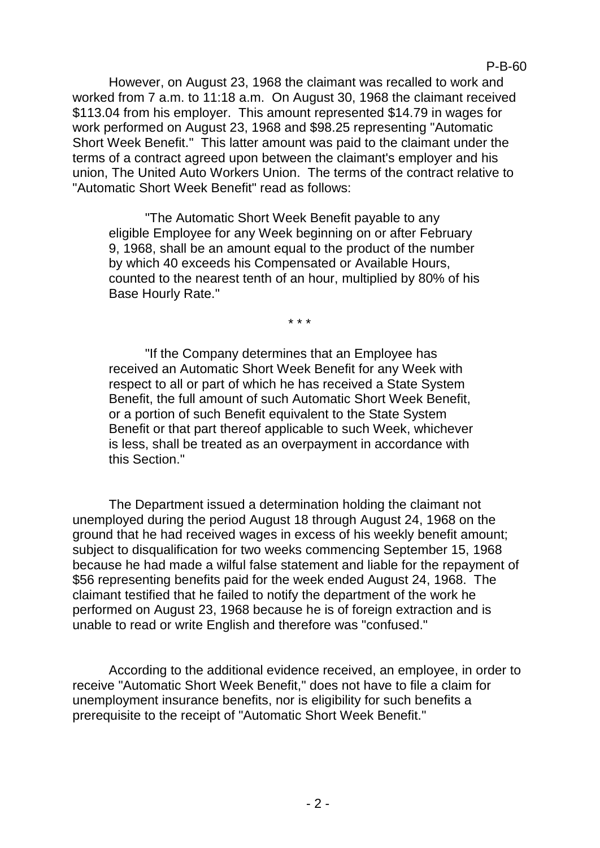However, on August 23, 1968 the claimant was recalled to work and worked from 7 a.m. to 11:18 a.m. On August 30, 1968 the claimant received \$113.04 from his employer. This amount represented \$14.79 in wages for work performed on August 23, 1968 and \$98.25 representing "Automatic Short Week Benefit." This latter amount was paid to the claimant under the terms of a contract agreed upon between the claimant's employer and his union, The United Auto Workers Union. The terms of the contract relative to "Automatic Short Week Benefit" read as follows:

"The Automatic Short Week Benefit payable to any eligible Employee for any Week beginning on or after February 9, 1968, shall be an amount equal to the product of the number by which 40 exceeds his Compensated or Available Hours, counted to the nearest tenth of an hour, multiplied by 80% of his Base Hourly Rate."

\* \* \*

"If the Company determines that an Employee has received an Automatic Short Week Benefit for any Week with respect to all or part of which he has received a State System Benefit, the full amount of such Automatic Short Week Benefit, or a portion of such Benefit equivalent to the State System Benefit or that part thereof applicable to such Week, whichever is less, shall be treated as an overpayment in accordance with this Section."

The Department issued a determination holding the claimant not unemployed during the period August 18 through August 24, 1968 on the ground that he had received wages in excess of his weekly benefit amount; subject to disqualification for two weeks commencing September 15, 1968 because he had made a wilful false statement and liable for the repayment of \$56 representing benefits paid for the week ended August 24, 1968. The claimant testified that he failed to notify the department of the work he performed on August 23, 1968 because he is of foreign extraction and is unable to read or write English and therefore was "confused."

According to the additional evidence received, an employee, in order to receive "Automatic Short Week Benefit," does not have to file a claim for unemployment insurance benefits, nor is eligibility for such benefits a prerequisite to the receipt of "Automatic Short Week Benefit."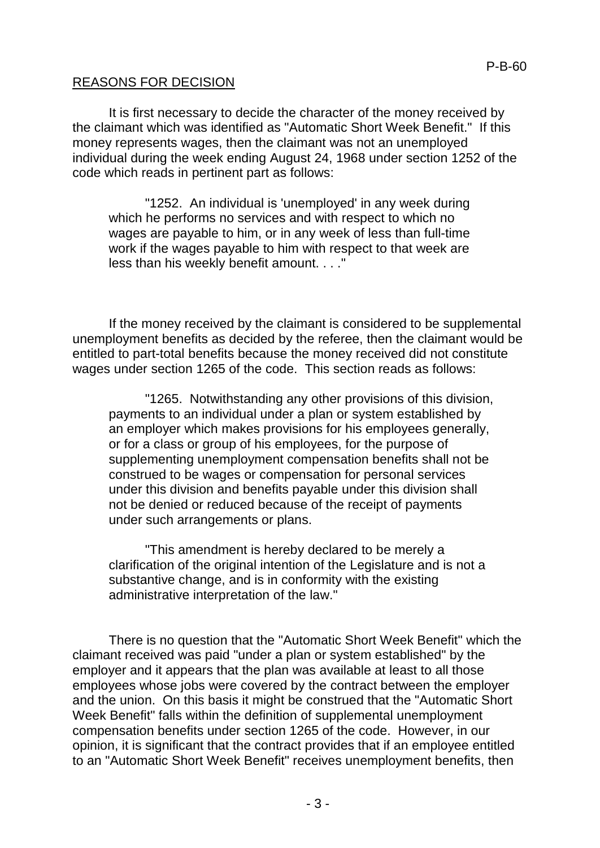### REASONS FOR DECISION

It is first necessary to decide the character of the money received by the claimant which was identified as "Automatic Short Week Benefit." If this money represents wages, then the claimant was not an unemployed individual during the week ending August 24, 1968 under section 1252 of the code which reads in pertinent part as follows:

"1252. An individual is 'unemployed' in any week during which he performs no services and with respect to which no wages are payable to him, or in any week of less than full-time work if the wages payable to him with respect to that week are less than his weekly benefit amount. . . ."

If the money received by the claimant is considered to be supplemental unemployment benefits as decided by the referee, then the claimant would be entitled to part-total benefits because the money received did not constitute wages under section 1265 of the code. This section reads as follows:

"1265. Notwithstanding any other provisions of this division, payments to an individual under a plan or system established by an employer which makes provisions for his employees generally, or for a class or group of his employees, for the purpose of supplementing unemployment compensation benefits shall not be construed to be wages or compensation for personal services under this division and benefits payable under this division shall not be denied or reduced because of the receipt of payments under such arrangements or plans.

"This amendment is hereby declared to be merely a clarification of the original intention of the Legislature and is not a substantive change, and is in conformity with the existing administrative interpretation of the law."

There is no question that the "Automatic Short Week Benefit" which the claimant received was paid "under a plan or system established" by the employer and it appears that the plan was available at least to all those employees whose jobs were covered by the contract between the employer and the union. On this basis it might be construed that the "Automatic Short Week Benefit" falls within the definition of supplemental unemployment compensation benefits under section 1265 of the code. However, in our opinion, it is significant that the contract provides that if an employee entitled to an "Automatic Short Week Benefit" receives unemployment benefits, then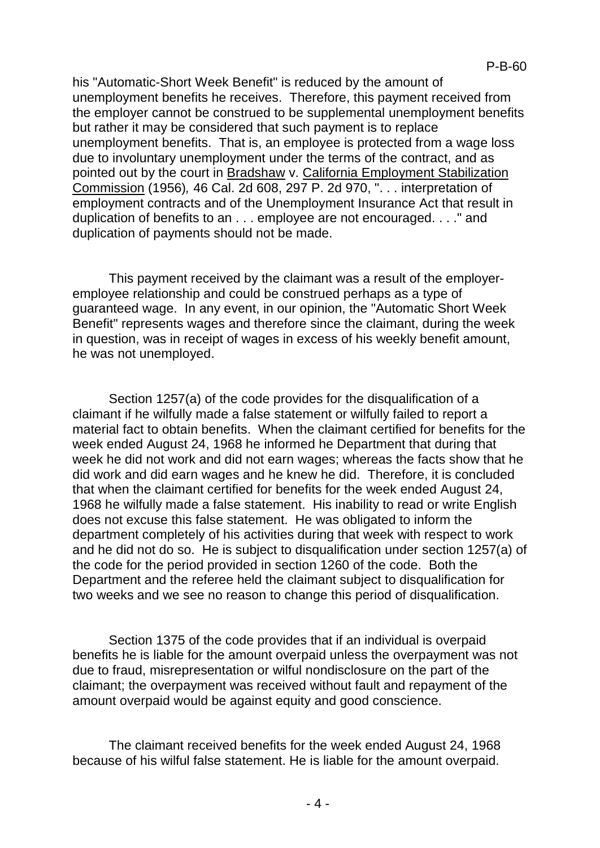his "Automatic-Short Week Benefit" is reduced by the amount of unemployment benefits he receives. Therefore, this payment received from the employer cannot be construed to be supplemental unemployment benefits but rather it may be considered that such payment is to replace unemployment benefits. That is, an employee is protected from a wage loss due to involuntary unemployment under the terms of the contract, and as pointed out by the court in Bradshaw v. California Employment Stabilization Commission (1956)*,* 46 Cal. 2d 608, 297 P. 2d 970, ". . . interpretation of employment contracts and of the Unemployment Insurance Act that result in duplication of benefits to an . . . employee are not encouraged. . . ." and duplication of payments should not be made.

This payment received by the claimant was a result of the employeremployee relationship and could be construed perhaps as a type of guaranteed wage. In any event, in our opinion, the "Automatic Short Week Benefit" represents wages and therefore since the claimant, during the week in question, was in receipt of wages in excess of his weekly benefit amount, he was not unemployed.

Section 1257(a) of the code provides for the disqualification of a claimant if he wilfully made a false statement or wilfully failed to report a material fact to obtain benefits. When the claimant certified for benefits for the week ended August 24, 1968 he informed he Department that during that week he did not work and did not earn wages; whereas the facts show that he did work and did earn wages and he knew he did. Therefore, it is concluded that when the claimant certified for benefits for the week ended August 24, 1968 he wilfully made a false statement. His inability to read or write English does not excuse this false statement. He was obligated to inform the department completely of his activities during that week with respect to work and he did not do so. He is subject to disqualification under section 1257(a) of the code for the period provided in section 1260 of the code. Both the Department and the referee held the claimant subject to disqualification for two weeks and we see no reason to change this period of disqualification.

Section 1375 of the code provides that if an individual is overpaid benefits he is liable for the amount overpaid unless the overpayment was not due to fraud, misrepresentation or wilful nondisclosure on the part of the claimant; the overpayment was received without fault and repayment of the amount overpaid would be against equity and good conscience.

The claimant received benefits for the week ended August 24, 1968 because of his wilful false statement. He is liable for the amount overpaid.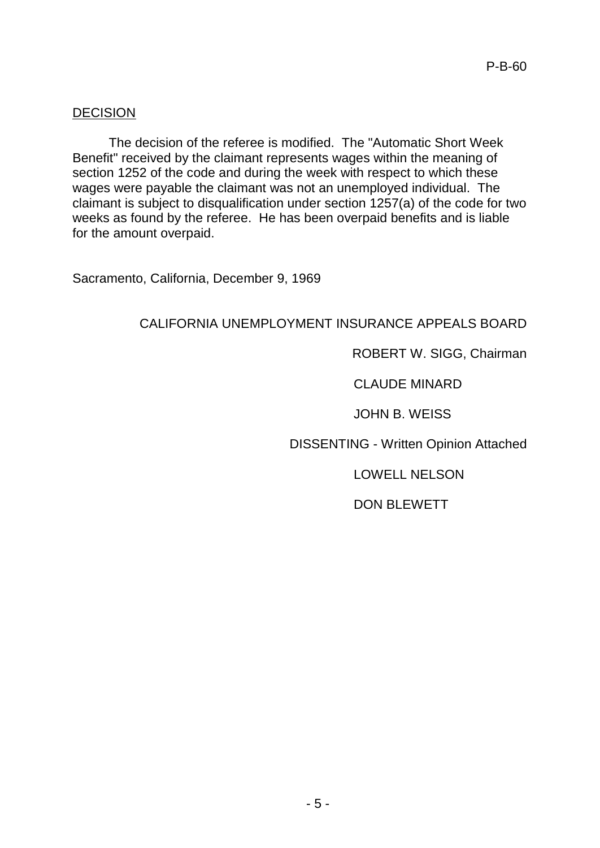### **DECISION**

The decision of the referee is modified. The "Automatic Short Week Benefit" received by the claimant represents wages within the meaning of section 1252 of the code and during the week with respect to which these wages were payable the claimant was not an unemployed individual. The claimant is subject to disqualification under section 1257(a) of the code for two weeks as found by the referee. He has been overpaid benefits and is liable for the amount overpaid.

Sacramento, California, December 9, 1969

# CALIFORNIA UNEMPLOYMENT INSURANCE APPEALS BOARD

# ROBERT W. SIGG, Chairman

### CLAUDE MINARD

JOHN B. WEISS

DISSENTING - Written Opinion Attached

LOWELL NELSON

DON BLEWETT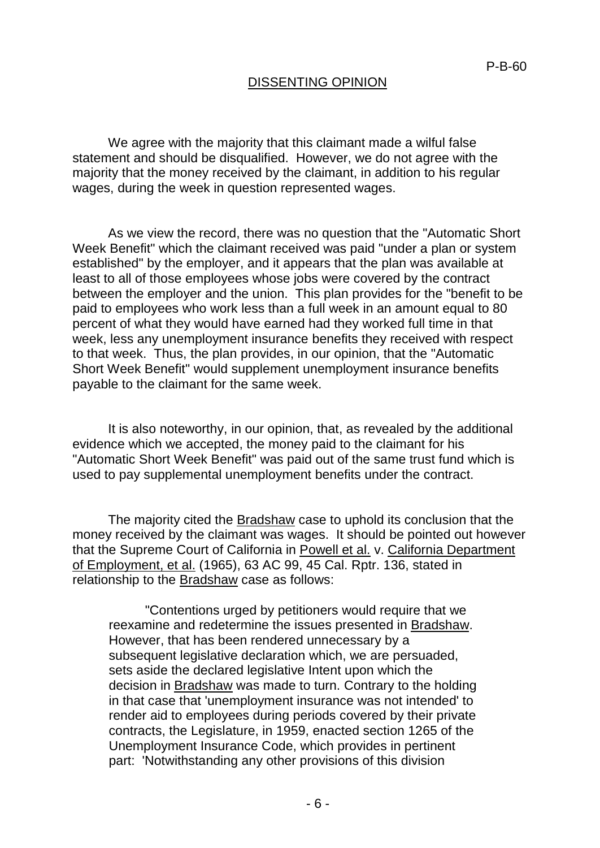# DISSENTING OPINION

We agree with the majority that this claimant made a wilful false statement and should be disqualified. However, we do not agree with the majority that the money received by the claimant, in addition to his regular wages, during the week in question represented wages.

As we view the record, there was no question that the "Automatic Short Week Benefit" which the claimant received was paid "under a plan or system established" by the employer, and it appears that the plan was available at least to all of those employees whose jobs were covered by the contract between the employer and the union. This plan provides for the "benefit to be paid to employees who work less than a full week in an amount equal to 80 percent of what they would have earned had they worked full time in that week, less any unemployment insurance benefits they received with respect to that week. Thus, the plan provides, in our opinion, that the "Automatic Short Week Benefit" would supplement unemployment insurance benefits payable to the claimant for the same week.

It is also noteworthy, in our opinion, that, as revealed by the additional evidence which we accepted, the money paid to the claimant for his "Automatic Short Week Benefit" was paid out of the same trust fund which is used to pay supplemental unemployment benefits under the contract.

The majority cited the Bradshaw case to uphold its conclusion that the money received by the claimant was wages. It should be pointed out however that the Supreme Court of California in Powell et al. v. California Department of Employment, et al. (1965), 63 AC 99, 45 Cal. Rptr. 136, stated in relationship to the Bradshaw case as follows:

"Contentions urged by petitioners would require that we reexamine and redetermine the issues presented in Bradshaw. However, that has been rendered unnecessary by a subsequent legislative declaration which, we are persuaded, sets aside the declared legislative Intent upon which the decision in Bradshaw was made to turn. Contrary to the holding in that case that 'unemployment insurance was not intended' to render aid to employees during periods covered by their private contracts, the Legislature, in 1959, enacted section 1265 of the Unemployment Insurance Code, which provides in pertinent part: 'Notwithstanding any other provisions of this division